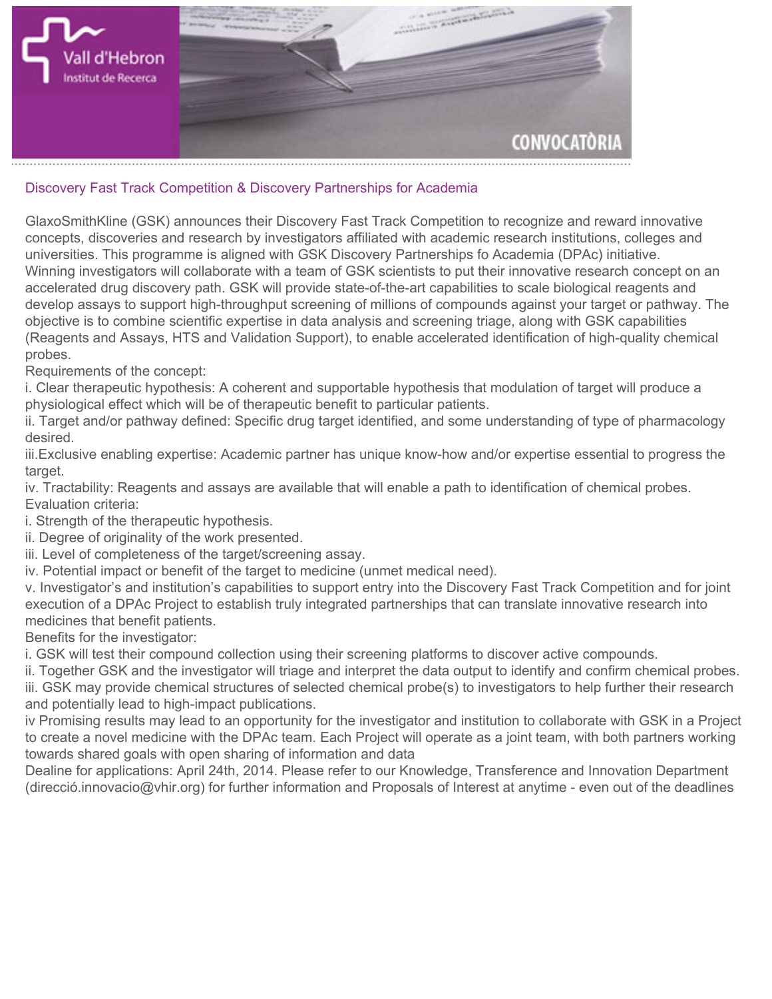

## **Discovery Fast Track Competition & Discovery Partnerships for Academia**

**GlaxoSmithKline (GSK) announces their Discovery Fast Track Competition to recognize and reward innovative concepts, discoveries and research by investigators affiliated with academic research institutions, colleges and universities. This programme is aligned with GSK [Discovery Partnerships fo Academia \(DPAc\)](http://dpac.gsk.com/) initiative. Winning investigators will collaborate with a team of GSK scientists to put their innovative research concept on an accelerated drug discovery path. GSK will provide state-of-the-art capabilities to scale biological reagents and develop assays to support high-throughput screening of millions of compounds against your target or pathway. The objective is to combine scientific expertise in data analysis and screening triage, along with GSK capabilities (Reagents and Assays, HTS and Validation Support), to enable accelerated identification of high-quality chemical probes.**

**Requirements of the concept:**

**i. Clear therapeutic hypothesis: A coherent and supportable hypothesis that modulation of target will produce a physiological effect which will be of therapeutic benefit to particular patients.**

**ii. Target and/or pathway defined: Specific drug target identified, and some understanding of type of pharmacology desired.**

**iii.Exclusive enabling expertise: Academic partner has unique know-how and/or expertise essential to progress the target.**

**iv. Tractability: Reagents and assays are available that will enable a path to identification of chemical probes. Evaluation criteria:**

**i. Strength of the therapeutic hypothesis.**

**ii. Degree of originality of the work presented.**

**iii. Level of completeness of the target/screening assay.**

**iv. Potential impact or benefit of the target to medicine (unmet medical need).**

**v. Investigator's and institution's capabilities to support entry into the Discovery Fast Track Competition and for joint execution of a DPAc Project to establish truly integrated partnerships that can translate innovative research into medicines that benefit patients.**

**Benefits for the investigator:**

**i. GSK will test their compound collection using their screening platforms to discover active compounds.**

**ii. Together GSK and the investigator will triage and interpret the data output to identify and confirm chemical probes. iii. GSK may provide chemical structures of selected chemical probe(s) to investigators to help further their research and potentially lead to high-impact publications.**

**iv Promising results may lead to an opportunity for the investigator and institution to collaborate with GSK in a Project to create a novel medicine with the DPAc team. Each Project will operate as a joint team, with both partners working towards shared goals with open sharing of information and data**

**Dealine for applications: April 24th, 2014. Please refer to our Knowledge, Transference and Innovation Department (direcció.innovacio@vhir.org) for further information and Proposals of Interest at anytime - even out of the deadlines**